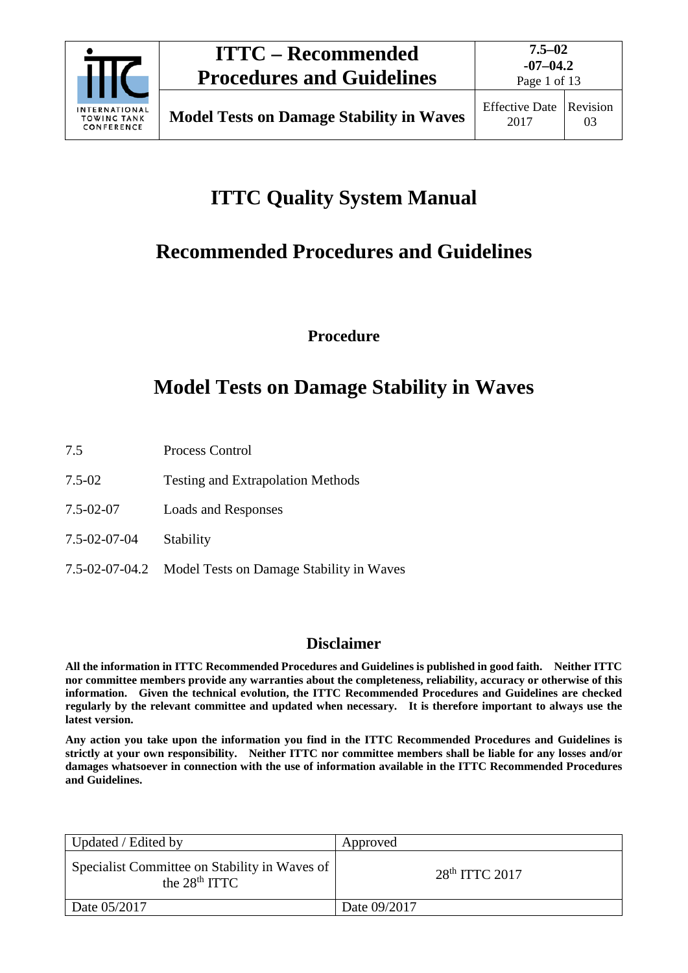

Page 1 of 13

# **ITTC Quality System Manual**

# **Recommended Procedures and Guidelines**

**Procedure**

# **Model Tests on Damage Stability in Waves**

- 7.5 Process Control
- 7.5-02 Testing and Extrapolation Methods
- 7.5-02-07 Loads and Responses
- 7.5-02-07-04 Stability
- 7.5-02-07-04.2 Model Tests on Damage Stability in Waves

## **Disclaimer**

**All the information in ITTC Recommended Procedures and Guidelines is published in good faith. Neither ITTC nor committee members provide any warranties about the completeness, reliability, accuracy or otherwise of this information. Given the technical evolution, the ITTC Recommended Procedures and Guidelines are checked regularly by the relevant committee and updated when necessary. It is therefore important to always use the latest version.**

**Any action you take upon the information you find in the ITTC Recommended Procedures and Guidelines is strictly at your own responsibility. Neither ITTC nor committee members shall be liable for any losses and/or damages whatsoever in connection with the use of information available in the ITTC Recommended Procedures and Guidelines.**

| Updated / Edited by                                              | Approved         |
|------------------------------------------------------------------|------------------|
| Specialist Committee on Stability in Waves of<br>the $28th TTTC$ | $28th$ ITTC 2017 |
| Date $05/2017$                                                   | Date 09/2017     |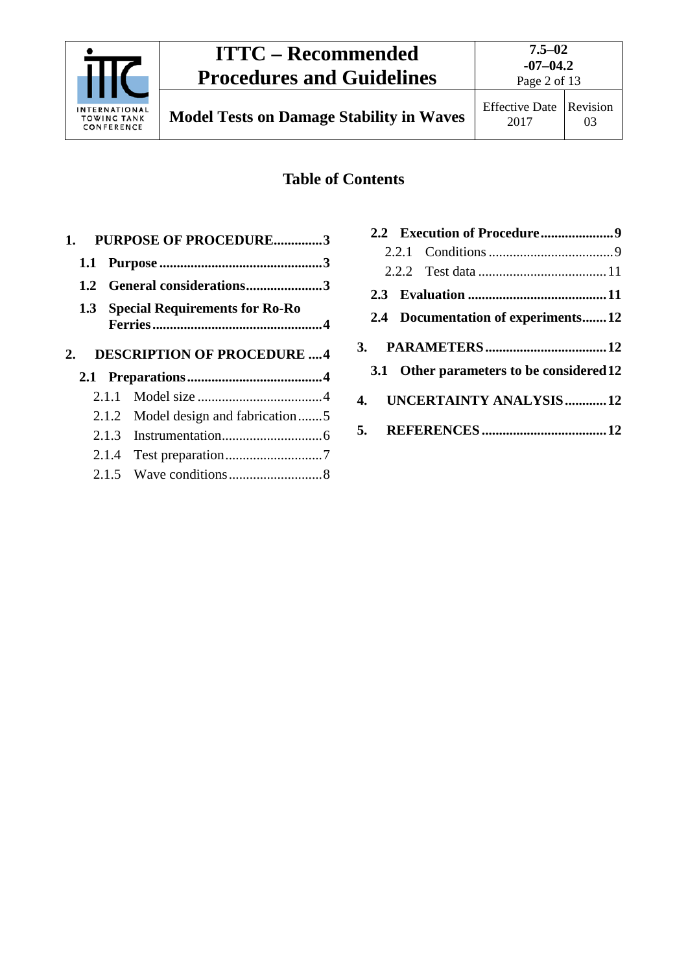

**7.5–02 -07–04.2**

## **Table of Contents**

|                                              | <b>PURPOSE OF PROCEDURE3</b> |
|----------------------------------------------|------------------------------|
| 1.1                                          |                              |
| 1.2 General considerations3                  |                              |
| <b>Special Requirements for Ro-Ro</b><br>1.3 |                              |
| <b>DESCRIPTION OF PROCEDURE 4</b>            |                              |
|                                              |                              |
|                                              |                              |
| 2.1.1                                        |                              |
| Model design and fabrication5<br>2.1.2       |                              |
|                                              |                              |
| 2.1.4                                        |                              |
|                                              |                              |

| 2.4 Documentation of experiments12       |  |
|------------------------------------------|--|
|                                          |  |
| 3.1 Other parameters to be considered 12 |  |
| 4. UNCERTAINTY ANALYSIS12                |  |
|                                          |  |
|                                          |  |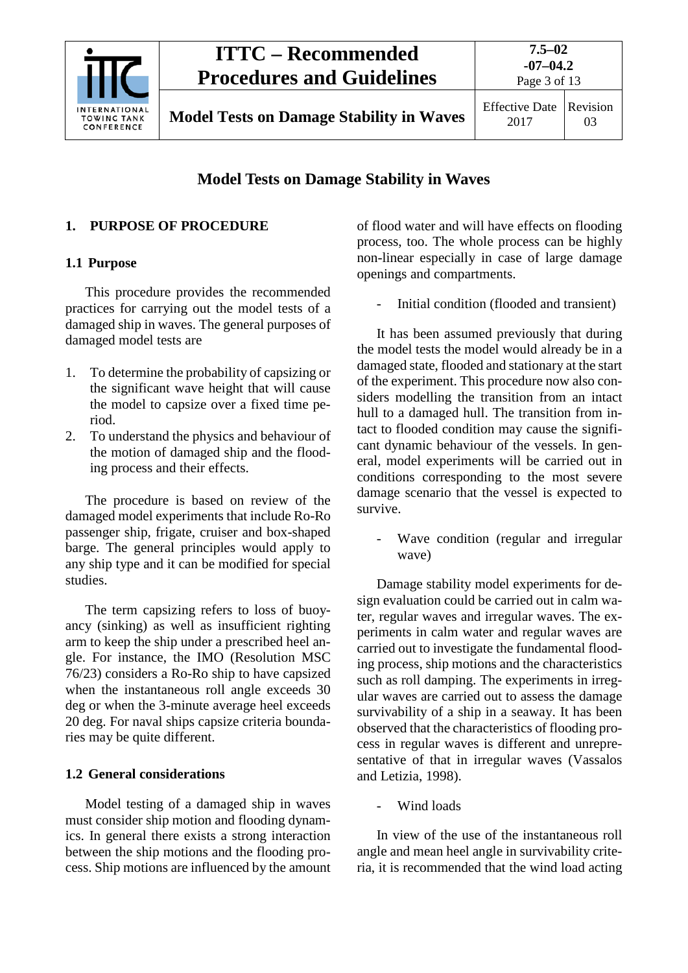

2017 Revision 03

## **Model Tests on Damage Stability in Waves**

## <span id="page-2-1"></span><span id="page-2-0"></span>**1. PURPOSE OF PROCEDURE**

### **1.1 Purpose**

This procedure provides the recommended practices for carrying out the model tests of a damaged ship in waves. The general purposes of damaged model tests are

- 1. To determine the probability of capsizing or the significant wave height that will cause the model to capsize over a fixed time period.
- 2. To understand the physics and behaviour of the motion of damaged ship and the flooding process and their effects.

The procedure is based on review of the damaged model experiments that include Ro-Ro passenger ship, frigate, cruiser and box-shaped barge. The general principles would apply to any ship type and it can be modified for special studies.

The term capsizing refers to loss of buoyancy (sinking) as well as insufficient righting arm to keep the ship under a prescribed heel angle. For instance, the IMO (Resolution MSC 76/23) considers a Ro-Ro ship to have capsized when the instantaneous roll angle exceeds 30 deg or when the 3-minute average heel exceeds 20 deg. For naval ships capsize criteria boundaries may be quite different.

## <span id="page-2-2"></span>**1.2 General considerations**

Model testing of a damaged ship in waves must consider ship motion and flooding dynamics. In general there exists a strong interaction between the ship motions and the flooding process. Ship motions are influenced by the amount of flood water and will have effects on flooding process, too. The whole process can be highly non-linear especially in case of large damage openings and compartments.

Initial condition (flooded and transient)

It has been assumed previously that during the model tests the model would already be in a damaged state, flooded and stationary at the start of the experiment. This procedure now also considers modelling the transition from an intact hull to a damaged hull. The transition from intact to flooded condition may cause the significant dynamic behaviour of the vessels. In general, model experiments will be carried out in conditions corresponding to the most severe damage scenario that the vessel is expected to survive.

Wave condition (regular and irregular wave)

Damage stability model experiments for design evaluation could be carried out in calm water, regular waves and irregular waves. The experiments in calm water and regular waves are carried out to investigate the fundamental flooding process, ship motions and the characteristics such as roll damping. The experiments in irregular waves are carried out to assess the damage survivability of a ship in a seaway. It has been observed that the characteristics of flooding process in regular waves is different and unrepresentative of that in irregular waves (Vassalos and Letizia, 1998).

Wind loads

In view of the use of the instantaneous roll angle and mean heel angle in survivability criteria, it is recommended that the wind load acting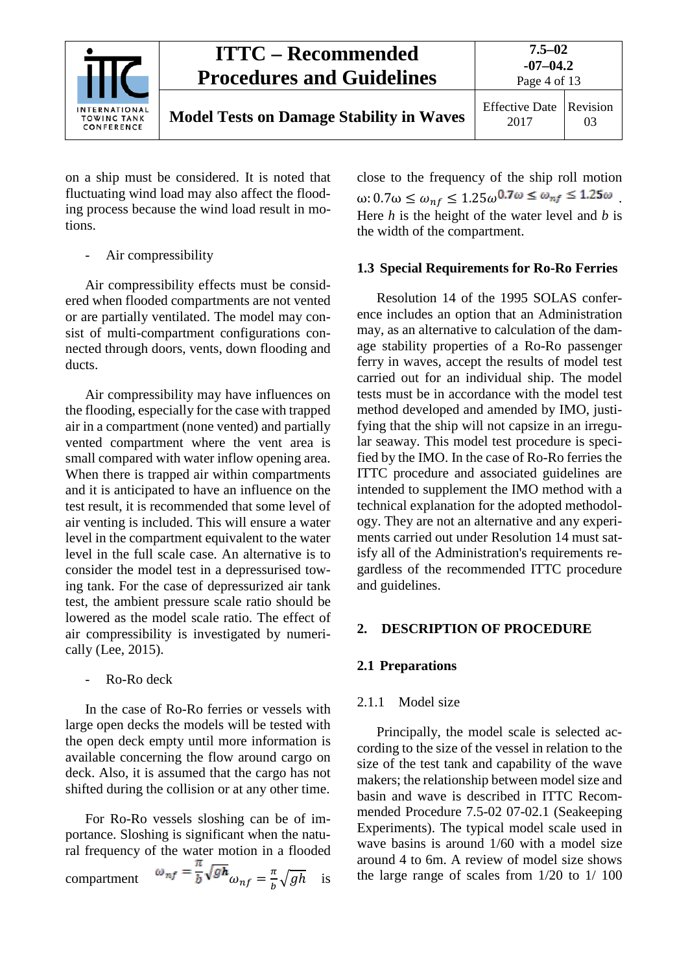

on a ship must be considered. It is noted that fluctuating wind load may also affect the flooding process because the wind load result in motions.

Air compressibility

Air compressibility effects must be considered when flooded compartments are not vented or are partially ventilated. The model may consist of multi-compartment configurations connected through doors, vents, down flooding and ducts.

Air compressibility may have influences on the flooding, especially for the case with trapped air in a compartment (none vented) and partially vented compartment where the vent area is small compared with water inflow opening area. When there is trapped air within compartments and it is anticipated to have an influence on the test result, it is recommended that some level of air venting is included. This will ensure a water level in the compartment equivalent to the water level in the full scale case. An alternative is to consider the model test in a depressurised towing tank. For the case of depressurized air tank test, the ambient pressure scale ratio should be lowered as the model scale ratio. The effect of air compressibility is investigated by numerically (Lee, 2015).

Ro-Ro deck

In the case of Ro-Ro ferries or vessels with large open decks the models will be tested with the open deck empty until more information is available concerning the flow around cargo on deck. Also, it is assumed that the cargo has not shifted during the collision or at any other time.

For Ro-Ro vessels sloshing can be of importance. Sloshing is significant when the natural frequency of the water motion in a flooded compartment  $\omega_{nf} = \frac{\overline{b}}{b} \sqrt{gh} \omega_{nf} = \frac{\pi}{b} \sqrt{gh}$  is close to the frequency of the ship roll motion ω: 0.7ω  $\leq \omega_{nf} \leq 1.25 \omega^{0.7 \omega} \leq \omega_{nf} \leq 1.25 \omega$ Here *h* is the height of the water level and *b* is the width of the compartment.

### <span id="page-3-0"></span>**1.3 Special Requirements for Ro-Ro Ferries**

Resolution 14 of the 1995 SOLAS conference includes an option that an Administration may, as an alternative to calculation of the damage stability properties of a Ro-Ro passenger ferry in waves, accept the results of model test carried out for an individual ship. The model tests must be in accordance with the model test method developed and amended by IMO, justifying that the ship will not capsize in an irregular seaway. This model test procedure is specified by the IMO. In the case of Ro-Ro ferries the ITTC procedure and associated guidelines are intended to supplement the IMO method with a technical explanation for the adopted methodology. They are not an alternative and any experiments carried out under Resolution 14 must satisfy all of the Administration's requirements regardless of the recommended ITTC procedure and guidelines.

## <span id="page-3-2"></span><span id="page-3-1"></span>**2. DESCRIPTION OF PROCEDURE**

## <span id="page-3-3"></span>**2.1 Preparations**

#### 2.1.1 Model size

Principally, the model scale is selected according to the size of the vessel in relation to the size of the test tank and capability of the wave makers; the relationship between model size and basin and wave is described in ITTC Recommended Procedure 7.5-02 07-02.1 (Seakeeping Experiments). The typical model scale used in wave basins is around 1/60 with a model size around 4 to 6m. A review of model size shows the large range of scales from 1/20 to 1/ 100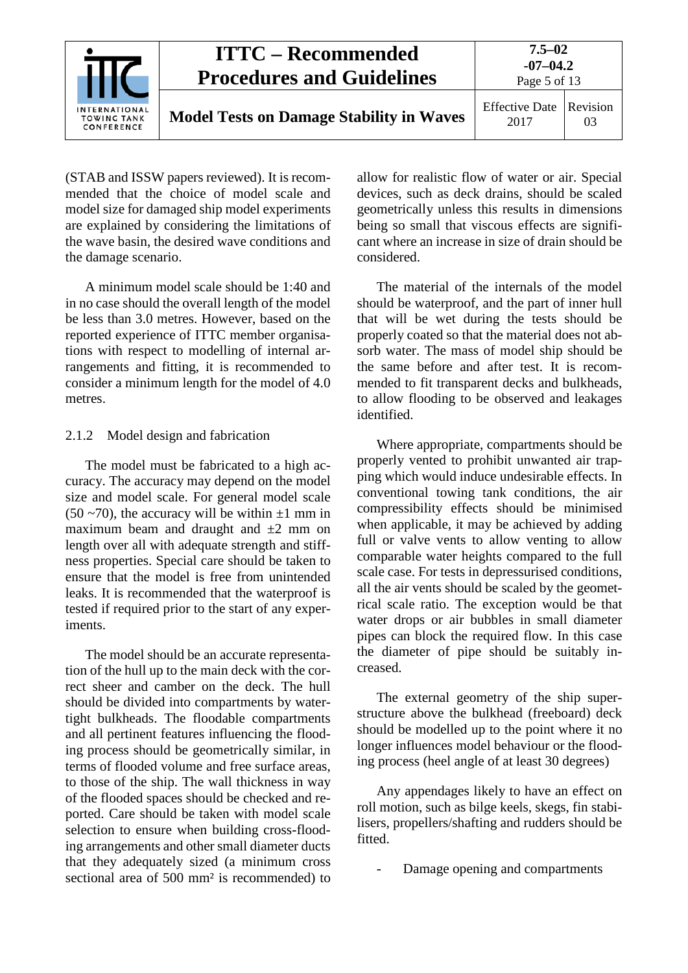

(STAB and ISSW papers reviewed). It is recommended that the choice of model scale and model size for damaged ship model experiments are explained by considering the limitations of the wave basin, the desired wave conditions and the damage scenario.

A minimum model scale should be 1:40 and in no case should the overall length of the model be less than 3.0 metres. However, based on the reported experience of ITTC member organisations with respect to modelling of internal arrangements and fitting, it is recommended to consider a minimum length for the model of 4.0 metres.

#### <span id="page-4-0"></span>2.1.2 Model design and fabrication

The model must be fabricated to a high accuracy. The accuracy may depend on the model size and model scale. For general model scale  $(50 - 70)$ , the accuracy will be within  $\pm 1$  mm in maximum beam and draught and  $\pm 2$  mm on length over all with adequate strength and stiffness properties. Special care should be taken to ensure that the model is free from unintended leaks. It is recommended that the waterproof is tested if required prior to the start of any experiments.

The model should be an accurate representation of the hull up to the main deck with the correct sheer and camber on the deck. The hull should be divided into compartments by watertight bulkheads. The floodable compartments and all pertinent features influencing the flooding process should be geometrically similar, in terms of flooded volume and free surface areas, to those of the ship. The wall thickness in way of the flooded spaces should be checked and reported. Care should be taken with model scale selection to ensure when building cross-flooding arrangements and other small diameter ducts that they adequately sized (a minimum cross sectional area of 500 mm² is recommended) to

allow for realistic flow of water or air. Special devices, such as deck drains, should be scaled geometrically unless this results in dimensions being so small that viscous effects are significant where an increase in size of drain should be considered.

The material of the internals of the model should be waterproof, and the part of inner hull that will be wet during the tests should be properly coated so that the material does not absorb water. The mass of model ship should be the same before and after test. It is recommended to fit transparent decks and bulkheads, to allow flooding to be observed and leakages identified.

Where appropriate, compartments should be properly vented to prohibit unwanted air trapping which would induce undesirable effects. In conventional towing tank conditions, the air compressibility effects should be minimised when applicable, it may be achieved by adding full or valve vents to allow venting to allow comparable water heights compared to the full scale case. For tests in depressurised conditions, all the air vents should be scaled by the geometrical scale ratio. The exception would be that water drops or air bubbles in small diameter pipes can block the required flow. In this case the diameter of pipe should be suitably increased.

The external geometry of the ship superstructure above the bulkhead (freeboard) deck should be modelled up to the point where it no longer influences model behaviour or the flooding process (heel angle of at least 30 degrees)

Any appendages likely to have an effect on roll motion, such as bilge keels, skegs, fin stabilisers, propellers/shafting and rudders should be fitted.

Damage opening and compartments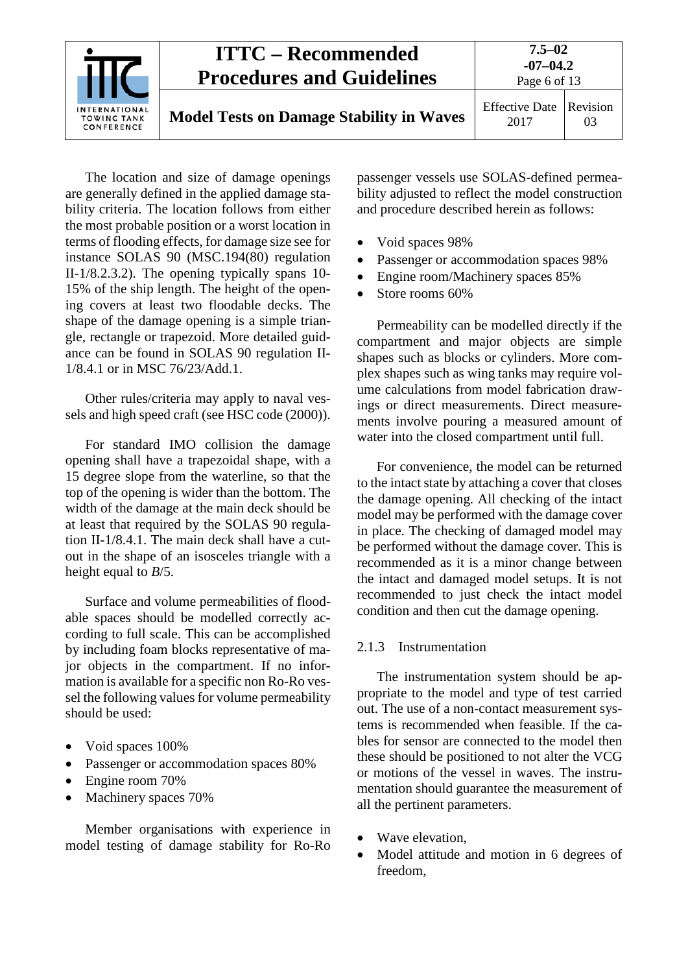

The location and size of damage openings are generally defined in the applied damage stability criteria. The location follows from either the most probable position or a worst location in terms of flooding effects, for damage size see for instance SOLAS 90 (MSC.194(80) regulation II-1/8.2.3.2). The opening typically spans 10- 15% of the ship length. The height of the opening covers at least two floodable decks. The shape of the damage opening is a simple triangle, rectangle or trapezoid. More detailed guidance can be found in SOLAS 90 regulation II-1/8.4.1 or in MSC 76/23/Add.1.

Other rules/criteria may apply to naval vessels and high speed craft (see HSC code (2000)).

For standard IMO collision the damage opening shall have a trapezoidal shape, with a 15 degree slope from the waterline, so that the top of the opening is wider than the bottom. The width of the damage at the main deck should be at least that required by the SOLAS 90 regulation II-1/8.4.1. The main deck shall have a cutout in the shape of an isosceles triangle with a height equal to *B*/5.

Surface and volume permeabilities of floodable spaces should be modelled correctly according to full scale. This can be accomplished by including foam blocks representative of major objects in the compartment. If no information is available for a specific non Ro-Ro vessel the following values for volume permeability should be used:

- Void spaces  $100\%$
- Passenger or accommodation spaces 80%
- Engine room 70%
- Machinery spaces 70%

Member organisations with experience in model testing of damage stability for Ro-Ro

passenger vessels use SOLAS-defined permeability adjusted to reflect the model construction and procedure described herein as follows:

- Void spaces 98%
- Passenger or accommodation spaces 98%
- Engine room/Machinery spaces 85%
- Store rooms 60%

Permeability can be modelled directly if the compartment and major objects are simple shapes such as blocks or cylinders. More complex shapes such as wing tanks may require volume calculations from model fabrication drawings or direct measurements. Direct measurements involve pouring a measured amount of water into the closed compartment until full.

For convenience, the model can be returned to the intact state by attaching a cover that closes the damage opening. All checking of the intact model may be performed with the damage cover in place. The checking of damaged model may be performed without the damage cover. This is recommended as it is a minor change between the intact and damaged model setups. It is not recommended to just check the intact model condition and then cut the damage opening.

#### <span id="page-5-0"></span>2.1.3 Instrumentation

The instrumentation system should be appropriate to the model and type of test carried out. The use of a non-contact measurement systems is recommended when feasible. If the cables for sensor are connected to the model then these should be positioned to not alter the VCG or motions of the vessel in waves. The instrumentation should guarantee the measurement of all the pertinent parameters.

- Wave elevation,
- Model attitude and motion in 6 degrees of freedom,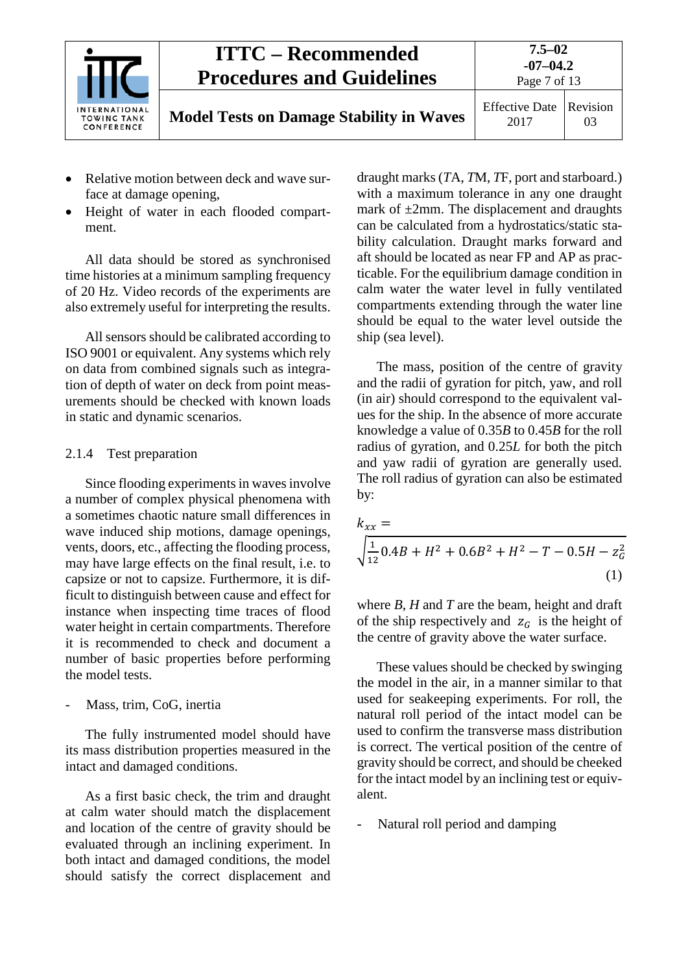

- Relative motion between deck and wave surface at damage opening,
- Height of water in each flooded compartment.

All data should be stored as synchronised time histories at a minimum sampling frequency of 20 Hz. Video records of the experiments are also extremely useful for interpreting the results.

All sensors should be calibrated according to ISO 9001 or equivalent. Any systems which rely on data from combined signals such as integration of depth of water on deck from point measurements should be checked with known loads in static and dynamic scenarios.

#### <span id="page-6-0"></span>2.1.4 Test preparation

Since flooding experiments in waves involve a number of complex physical phenomena with a sometimes chaotic nature small differences in wave induced ship motions, damage openings, vents, doors, etc., affecting the flooding process, may have large effects on the final result, i.e. to capsize or not to capsize. Furthermore, it is difficult to distinguish between cause and effect for instance when inspecting time traces of flood water height in certain compartments. Therefore it is recommended to check and document a number of basic properties before performing the model tests.

Mass, trim, CoG, inertia

The fully instrumented model should have its mass distribution properties measured in the intact and damaged conditions.

As a first basic check, the trim and draught at calm water should match the displacement and location of the centre of gravity should be evaluated through an inclining experiment. In both intact and damaged conditions, the model should satisfy the correct displacement and

draught marks (*T*A, *T*M, *T*F, port and starboard.) with a maximum tolerance in any one draught mark of  $\pm 2$ mm. The displacement and draughts can be calculated from a hydrostatics/static stability calculation. Draught marks forward and aft should be located as near FP and AP as practicable. For the equilibrium damage condition in calm water the water level in fully ventilated compartments extending through the water line should be equal to the water level outside the ship (sea level).

The mass, position of the centre of gravity and the radii of gyration for pitch, yaw, and roll (in air) should correspond to the equivalent values for the ship. In the absence of more accurate knowledge a value of 0.35*B* to 0.45*B* for the roll radius of gyration, and 0.25*L* for both the pitch and yaw radii of gyration are generally used. The roll radius of gyration can also be estimated by:

$$
k_{xx} = \sqrt{\frac{1}{12}0.4B + H^2 + 0.6B^2 + H^2 - T - 0.5H - z_G^2}
$$
\n(1)

where *B*, *H* and *T* are the beam, height and draft of the ship respectively and  $z_G$  is the height of the centre of gravity above the water surface.

These values should be checked by swinging the model in the air, in a manner similar to that used for seakeeping experiments. For roll, the natural roll period of the intact model can be used to confirm the transverse mass distribution is correct. The vertical position of the centre of gravity should be correct, and should be cheeked for the intact model by an inclining test or equivalent.

Natural roll period and damping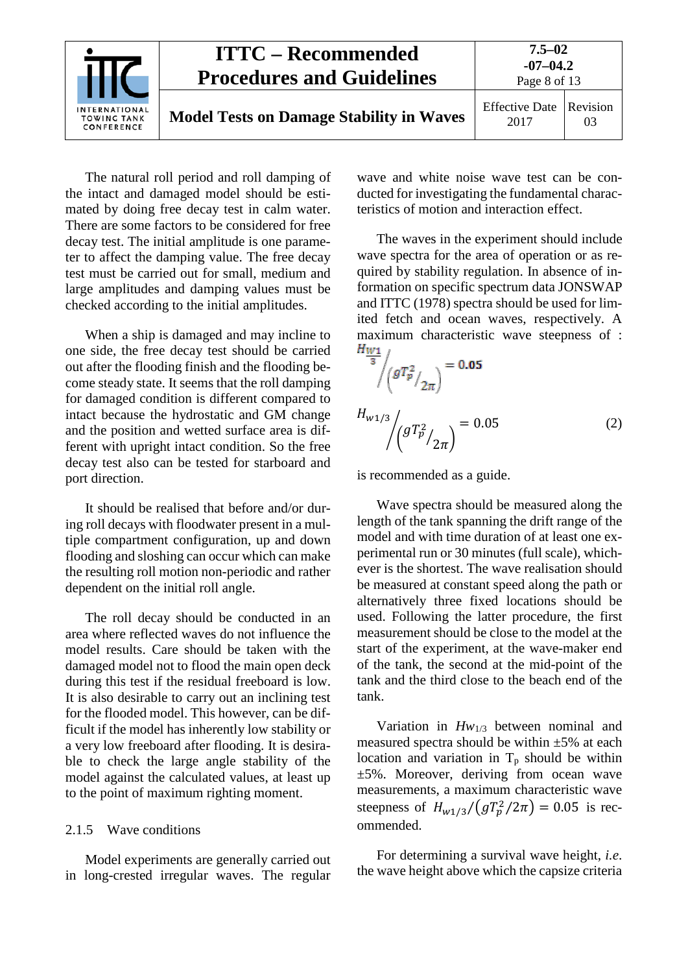

The natural roll period and roll damping of the intact and damaged model should be estimated by doing free decay test in calm water. There are some factors to be considered for free decay test. The initial amplitude is one parameter to affect the damping value. The free decay test must be carried out for small, medium and large amplitudes and damping values must be checked according to the initial amplitudes.

When a ship is damaged and may incline to one side, the free decay test should be carried out after the flooding finish and the flooding become steady state. It seems that the roll damping for damaged condition is different compared to intact because the hydrostatic and GM change and the position and wetted surface area is different with upright intact condition. So the free decay test also can be tested for starboard and port direction.

It should be realised that before and/or during roll decays with floodwater present in a multiple compartment configuration, up and down flooding and sloshing can occur which can make the resulting roll motion non-periodic and rather dependent on the initial roll angle.

The roll decay should be conducted in an area where reflected waves do not influence the model results. Care should be taken with the damaged model not to flood the main open deck during this test if the residual freeboard is low. It is also desirable to carry out an inclining test for the flooded model. This however, can be difficult if the model has inherently low stability or a very low freeboard after flooding. It is desirable to check the large angle stability of the model against the calculated values, at least up to the point of maximum righting moment.

#### <span id="page-7-0"></span>2.1.5 Wave conditions

Model experiments are generally carried out in long-crested irregular waves. The regular

wave and white noise wave test can be conducted for investigating the fundamental characteristics of motion and interaction effect.

The waves in the experiment should include wave spectra for the area of operation or as required by stability regulation. In absence of information on specific spectrum data JONSWAP and ITTC (1978) spectra should be used for limited fetch and ocean waves, respectively. A maximum characteristic wave steepness of :<br>Huri

$$
\frac{W}{\sqrt{3}} \left( g T_p^2 / 2\pi \right) = 0.05
$$
\n
$$
H_{w1/3} \left( g T_p^2 / 2\pi \right) = 0.05 \tag{2}
$$

is recommended as a guide.

Wave spectra should be measured along the length of the tank spanning the drift range of the model and with time duration of at least one experimental run or 30 minutes (full scale), whichever is the shortest. The wave realisation should be measured at constant speed along the path or alternatively three fixed locations should be used. Following the latter procedure, the first measurement should be close to the model at the start of the experiment, at the wave-maker end of the tank, the second at the mid-point of the tank and the third close to the beach end of the tank.

Variation in *Hw*1/3 between nominal and measured spectra should be within  $\pm 5\%$  at each location and variation in  $T_p$  should be within ±5%. Moreover, deriving from ocean wave measurements, a maximum characteristic wave steepness of  $H_{w1/3} / (gT_p^2 / 2\pi) = 0.05$  is recommended.

For determining a survival wave height, *i.e*. the wave height above which the capsize criteria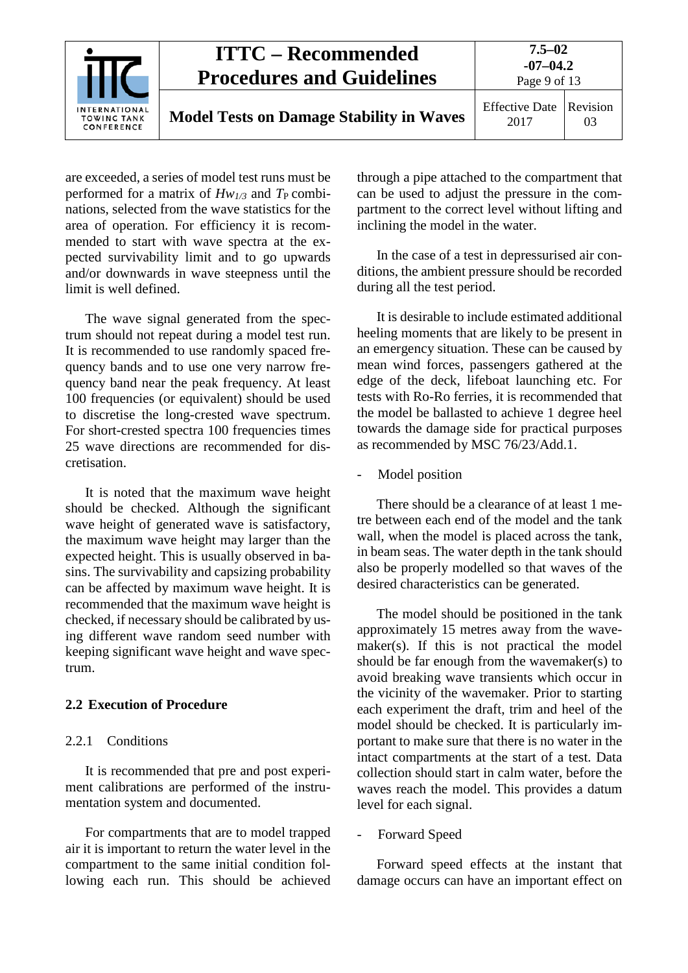

are exceeded, a series of model test runs must be performed for a matrix of  $Hw_{1/3}$  and  $T_{\rm P}$  combinations, selected from the wave statistics for the area of operation. For efficiency it is recommended to start with wave spectra at the expected survivability limit and to go upwards and/or downwards in wave steepness until the limit is well defined.

The wave signal generated from the spectrum should not repeat during a model test run. It is recommended to use randomly spaced frequency bands and to use one very narrow frequency band near the peak frequency. At least 100 frequencies (or equivalent) should be used to discretise the long-crested wave spectrum. For short-crested spectra 100 frequencies times 25 wave directions are recommended for discretisation.

It is noted that the maximum wave height should be checked. Although the significant wave height of generated wave is satisfactory, the maximum wave height may larger than the expected height. This is usually observed in basins. The survivability and capsizing probability can be affected by maximum wave height. It is recommended that the maximum wave height is checked, if necessary should be calibrated by using different wave random seed number with keeping significant wave height and wave spectrum.

#### <span id="page-8-1"></span><span id="page-8-0"></span>**2.2 Execution of Procedure**

#### 2.2.1 Conditions

It is recommended that pre and post experiment calibrations are performed of the instrumentation system and documented.

For compartments that are to model trapped air it is important to return the water level in the compartment to the same initial condition following each run. This should be achieved

through a pipe attached to the compartment that can be used to adjust the pressure in the compartment to the correct level without lifting and inclining the model in the water.

In the case of a test in depressurised air conditions, the ambient pressure should be recorded during all the test period.

It is desirable to include estimated additional heeling moments that are likely to be present in an emergency situation. These can be caused by mean wind forces, passengers gathered at the edge of the deck, lifeboat launching etc. For tests with Ro-Ro ferries, it is recommended that the model be ballasted to achieve 1 degree heel towards the damage side for practical purposes as recommended by MSC 76/23/Add.1.

- Model position

There should be a clearance of at least 1 metre between each end of the model and the tank wall, when the model is placed across the tank, in beam seas. The water depth in the tank should also be properly modelled so that waves of the desired characteristics can be generated.

The model should be positioned in the tank approximately 15 metres away from the wavemaker(s). If this is not practical the model should be far enough from the wavemaker(s) to avoid breaking wave transients which occur in the vicinity of the wavemaker. Prior to starting each experiment the draft, trim and heel of the model should be checked. It is particularly important to make sure that there is no water in the intact compartments at the start of a test. Data collection should start in calm water, before the waves reach the model. This provides a datum level for each signal.

Forward Speed

Forward speed effects at the instant that damage occurs can have an important effect on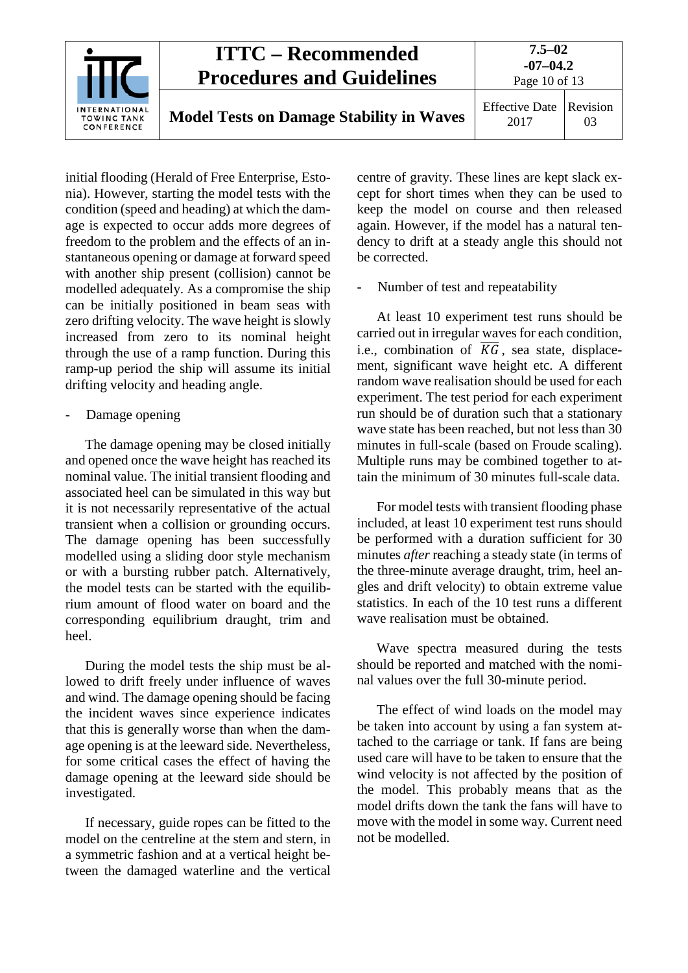

initial flooding (Herald of Free Enterprise, Estonia). However, starting the model tests with the condition (speed and heading) at which the damage is expected to occur adds more degrees of freedom to the problem and the effects of an instantaneous opening or damage at forward speed with another ship present (collision) cannot be modelled adequately. As a compromise the ship can be initially positioned in beam seas with zero drifting velocity. The wave height is slowly increased from zero to its nominal height through the use of a ramp function. During this ramp-up period the ship will assume its initial drifting velocity and heading angle.

Damage opening

The damage opening may be closed initially and opened once the wave height has reached its nominal value. The initial transient flooding and associated heel can be simulated in this way but it is not necessarily representative of the actual transient when a collision or grounding occurs. The damage opening has been successfully modelled using a sliding door style mechanism or with a bursting rubber patch. Alternatively, the model tests can be started with the equilibrium amount of flood water on board and the corresponding equilibrium draught, trim and heel.

During the model tests the ship must be allowed to drift freely under influence of waves and wind. The damage opening should be facing the incident waves since experience indicates that this is generally worse than when the damage opening is at the leeward side. Nevertheless, for some critical cases the effect of having the damage opening at the leeward side should be investigated.

If necessary, guide ropes can be fitted to the model on the centreline at the stem and stern, in a symmetric fashion and at a vertical height between the damaged waterline and the vertical centre of gravity. These lines are kept slack except for short times when they can be used to keep the model on course and then released again. However, if the model has a natural tendency to drift at a steady angle this should not be corrected.

Number of test and repeatability

At least 10 experiment test runs should be carried out in irregular waves for each condition, i.e., combination of  $\overline{KG}$ , sea state, displacement, significant wave height etc. A different random wave realisation should be used for each experiment. The test period for each experiment run should be of duration such that a stationary wave state has been reached, but not less than 30 minutes in full-scale (based on Froude scaling). Multiple runs may be combined together to attain the minimum of 30 minutes full-scale data.

For model tests with transient flooding phase included, at least 10 experiment test runs should be performed with a duration sufficient for 30 minutes *after* reaching a steady state (in terms of the three-minute average draught, trim, heel angles and drift velocity) to obtain extreme value statistics. In each of the 10 test runs a different wave realisation must be obtained.

Wave spectra measured during the tests should be reported and matched with the nominal values over the full 30-minute period.

The effect of wind loads on the model may be taken into account by using a fan system attached to the carriage or tank. If fans are being used care will have to be taken to ensure that the wind velocity is not affected by the position of the model. This probably means that as the model drifts down the tank the fans will have to move with the model in some way. Current need not be modelled.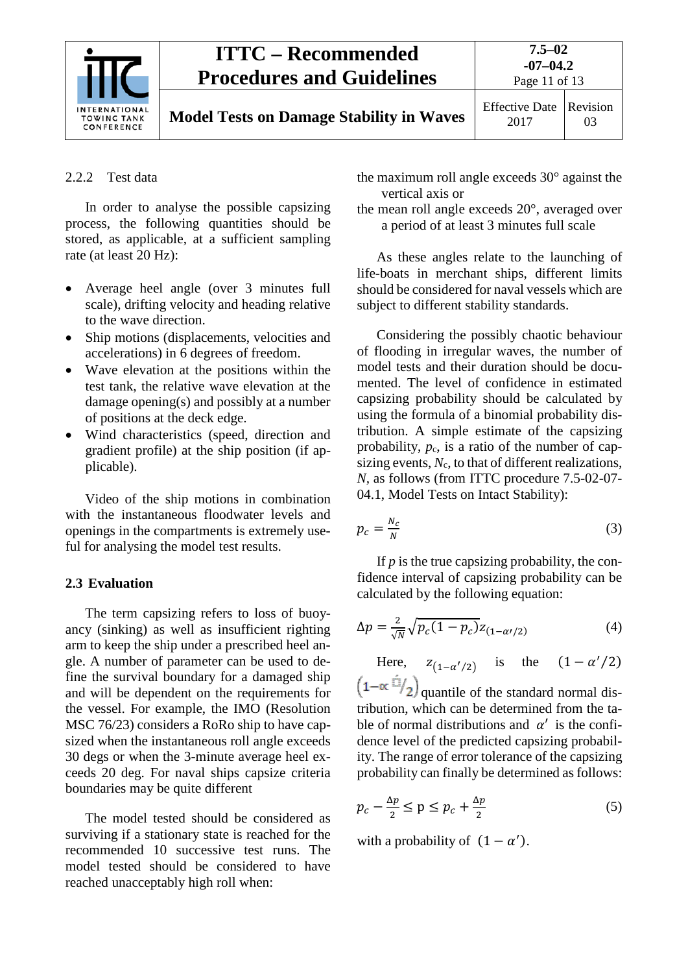

**Model Tests on Damage Stability in Waves** Effective Date

2017 Revision 03

#### <span id="page-10-0"></span>2.2.2 Test data

In order to analyse the possible capsizing process, the following quantities should be stored, as applicable, at a sufficient sampling rate (at least 20 Hz):

- Average heel angle (over 3 minutes full scale), drifting velocity and heading relative to the wave direction.
- Ship motions (displacements, velocities and accelerations) in 6 degrees of freedom.
- Wave elevation at the positions within the test tank, the relative wave elevation at the damage opening(s) and possibly at a number of positions at the deck edge.
- Wind characteristics (speed, direction and gradient profile) at the ship position (if applicable).

Video of the ship motions in combination with the instantaneous floodwater levels and openings in the compartments is extremely useful for analysing the model test results.

#### <span id="page-10-1"></span>**2.3 Evaluation**

The term capsizing refers to loss of buoyancy (sinking) as well as insufficient righting arm to keep the ship under a prescribed heel angle. A number of parameter can be used to define the survival boundary for a damaged ship and will be dependent on the requirements for the vessel. For example, the IMO (Resolution MSC 76/23) considers a RoRo ship to have capsized when the instantaneous roll angle exceeds 30 degs or when the 3-minute average heel exceeds 20 deg. For naval ships capsize criteria boundaries may be quite different

The model tested should be considered as surviving if a stationary state is reached for the recommended 10 successive test runs. The model tested should be considered to have reached unacceptably high roll when:

the maximum roll angle exceeds 30° against the vertical axis or

the mean roll angle exceeds 20°, averaged over a period of at least 3 minutes full scale

As these angles relate to the launching of life-boats in merchant ships, different limits should be considered for naval vessels which are subject to different stability standards.

Considering the possibly chaotic behaviour of flooding in irregular waves, the number of model tests and their duration should be documented. The level of confidence in estimated capsizing probability should be calculated by using the formula of a binomial probability distribution. A simple estimate of the capsizing probability,  $p_c$ , is a ratio of the number of capsizing events,  $N_c$ , to that of different realizations, *N,* as follows (from ITTC procedure 7.5-02-07- 04.1, Model Tests on Intact Stability):

$$
p_c = \frac{N_c}{N} \tag{3}
$$

If *p* is the true capsizing probability, the confidence interval of capsizing probability can be calculated by the following equation:

$$
\Delta p = \frac{2}{\sqrt{N}} \sqrt{p_c (1 - p_c)} z_{(1 - \alpha'/2)} \tag{4}
$$

Here,  $z_{(1-\alpha'/2)}$  is the  $(1-\alpha'/2)$ 

 $(1-\alpha \hat{=}$ /2) quantile of the standard normal distribution, which can be determined from the table of normal distributions and  $\alpha'$  is the confidence level of the predicted capsizing probability. The range of error tolerance of the capsizing probability can finally be determined as follows:

$$
p_c - \frac{\Delta p}{2} \le p \le p_c + \frac{\Delta p}{2} \tag{5}
$$

with a probability of  $(1 - \alpha')$ .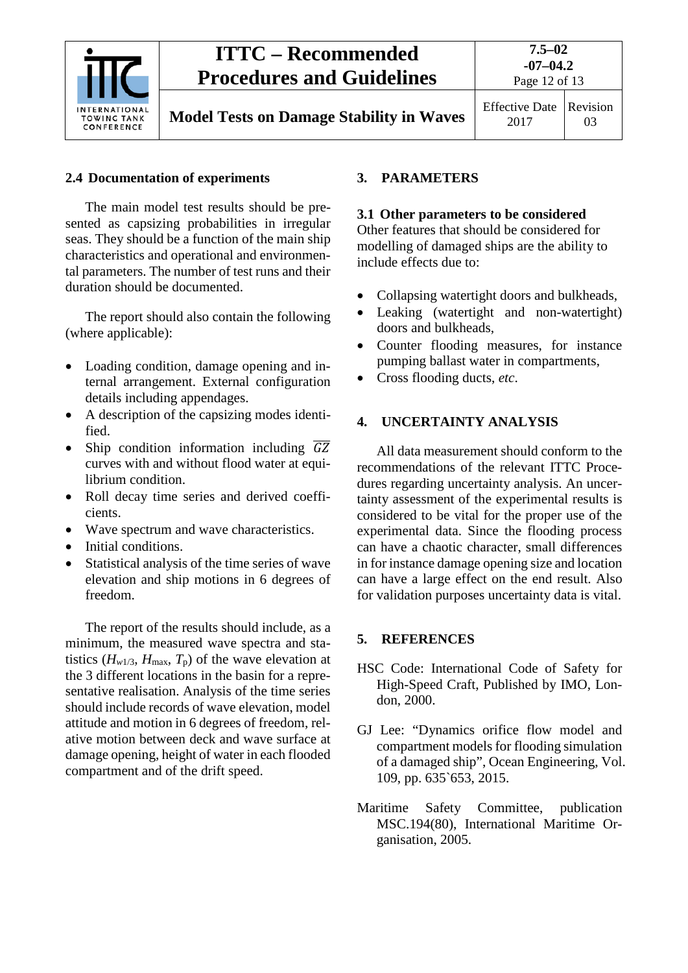

**Model Tests on Damage Stability in Waves** Effective Date

2017 Revision 03

## <span id="page-11-0"></span>**2.4 Documentation of experiments**

The main model test results should be presented as capsizing probabilities in irregular seas. They should be a function of the main ship characteristics and operational and environmental parameters. The number of test runs and their duration should be documented.

The report should also contain the following (where applicable):

- Loading condition, damage opening and internal arrangement. External configuration details including appendages.
- A description of the capsizing modes identified.
- Ship condition information including  $\overline{GZ}$ curves with and without flood water at equilibrium condition.
- Roll decay time series and derived coefficients.
- Wave spectrum and wave characteristics.
- Initial conditions.
- Statistical analysis of the time series of wave elevation and ship motions in 6 degrees of freedom.

The report of the results should include, as a minimum, the measured wave spectra and statistics ( $H_{w1/3}$ ,  $H_{\text{max}}$ ,  $T_p$ ) of the wave elevation at the 3 different locations in the basin for a representative realisation. Analysis of the time series should include records of wave elevation, model attitude and motion in 6 degrees of freedom, relative motion between deck and wave surface at damage opening, height of water in each flooded compartment and of the drift speed.

## <span id="page-11-2"></span><span id="page-11-1"></span>**3. PARAMETERS**

#### **3.1 Other parameters to be considered**

Other features that should be considered for modelling of damaged ships are the ability to include effects due to:

- Collapsing watertight doors and bulkheads,
- Leaking (watertight and non-watertight) doors and bulkheads,
- Counter flooding measures, for instance pumping ballast water in compartments,
- Cross flooding ducts, *etc*.

## <span id="page-11-3"></span>**4. UNCERTAINTY ANALYSIS**

All data measurement should conform to the recommendations of the relevant ITTC Procedures regarding uncertainty analysis. An uncertainty assessment of the experimental results is considered to be vital for the proper use of the experimental data. Since the flooding process can have a chaotic character, small differences in for instance damage opening size and location can have a large effect on the end result. Also for validation purposes uncertainty data is vital.

## <span id="page-11-4"></span>**5. REFERENCES**

- HSC Code: International Code of Safety for High-Speed Craft, Published by IMO, London, 2000.
- GJ Lee: "Dynamics orifice flow model and compartment models for flooding simulation of a damaged ship", Ocean Engineering, Vol. 109, pp. 635`653, 2015.
- Maritime Safety Committee, publication MSC.194(80), International Maritime Organisation, 2005.